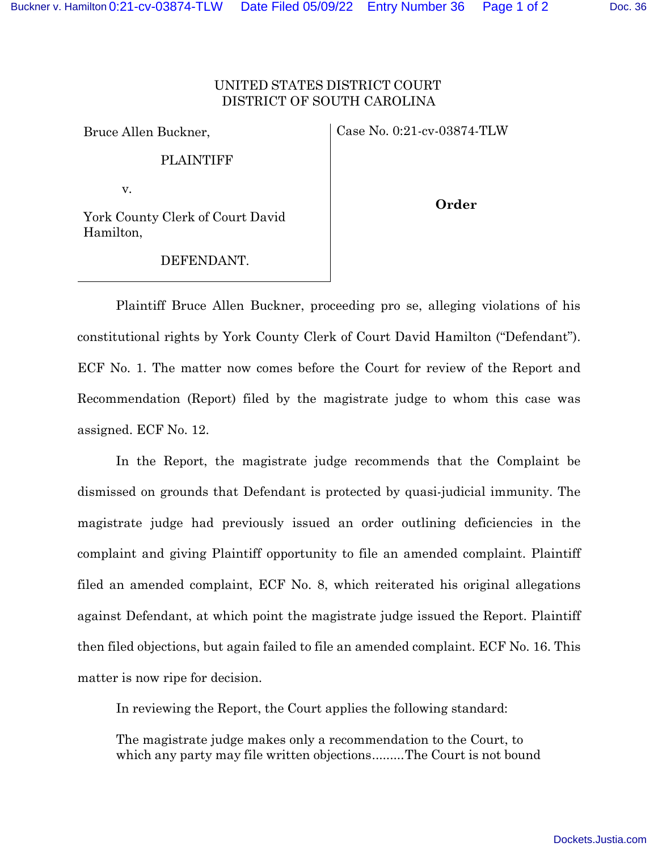## UNITED STATES DISTRICT COURT DISTRICT OF SOUTH CAROLINA

Bruce Allen Buckner,

Case No. 0:21-cv-03874-TLW

PLAINTIFF

v.

York County Clerk of Court David Hamilton,

DEFENDANT.

**Order**

Plaintiff Bruce Allen Buckner, proceeding pro se, alleging violations of his constitutional rights by York County Clerk of Court David Hamilton ("Defendant"). ECF No. 1. The matter now comes before the Court for review of the Report and Recommendation (Report) filed by the magistrate judge to whom this case was assigned. ECF No. 12.

In the Report, the magistrate judge recommends that the Complaint be dismissed on grounds that Defendant is protected by quasi-judicial immunity. The magistrate judge had previously issued an order outlining deficiencies in the complaint and giving Plaintiff opportunity to file an amended complaint. Plaintiff filed an amended complaint, ECF No. 8, which reiterated his original allegations against Defendant, at which point the magistrate judge issued the Report. Plaintiff then filed objections, but again failed to file an amended complaint. ECF No. 16. This matter is now ripe for decision.

In reviewing the Report, the Court applies the following standard:

The magistrate judge makes only a recommendation to the Court, to which any party may file written objections ......... The Court is not bound